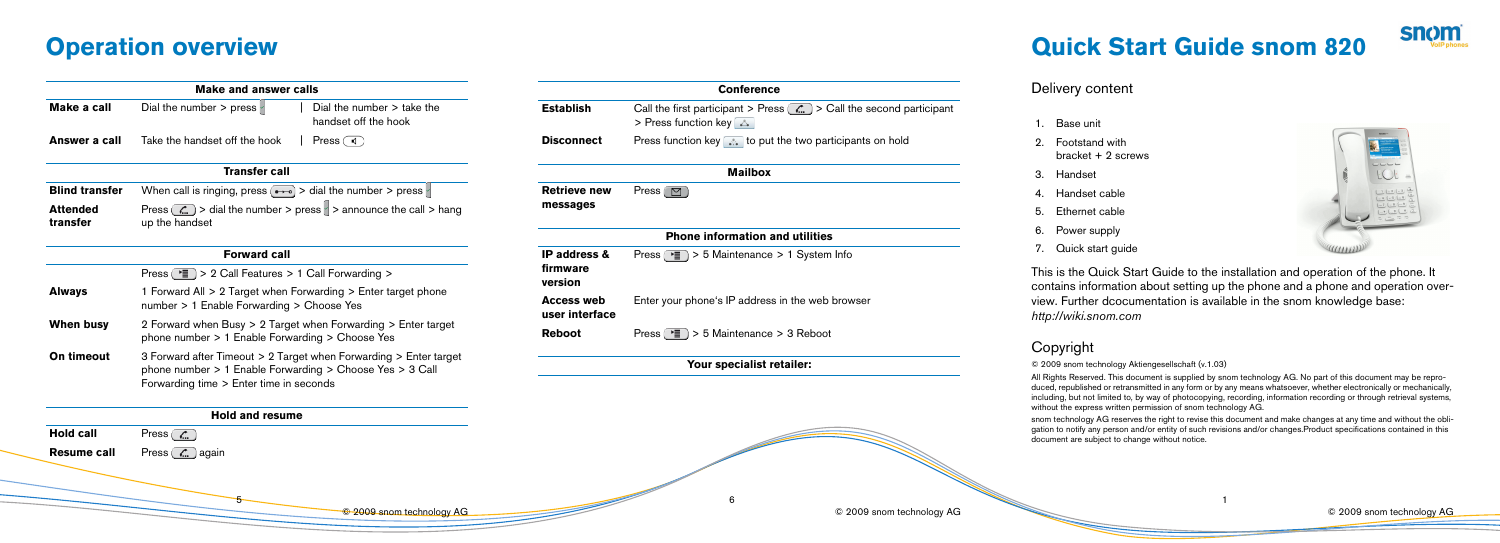5

© 2009 snom technology AG

6

© 2009 snom technology AG

# **Quick Start Guide snom 820**

- 
- 
- 
- 

## Delivery content

This is the Quick Start Guide to the installation and operation of the phone. It contains information about setting up the phone and a phone and operation overview. Further dcocumentation is available in the snom knowledge base:

*<http://wiki.snom.com>*

### Copyright

© 2009 snom technology Aktiengesellschaft (v.1.03)

All Rights Reserved. This document is supplied by snom technology AG. No part of this document may be reproduced, republished or retransmitted in any form or by any means whatsoever, whether electronically or mechanically, including, but not limited to, by way of photocopying, recording, information recording or through retrieval systems, without the express written permission of snom technology AG.

snom technology AG reserves the right to revise this document and make changes at any time and without the obligation to notify any person and/or entity of such revisions and/or changes.Product specifications contained in this document are subject to change without notice.





| <b>Conference</b>                   |                                                                                                                           |  |
|-------------------------------------|---------------------------------------------------------------------------------------------------------------------------|--|
| Establish                           | Call the first participant > Press $(\mathcal{L})$ > Call the second participant<br>> Press function key $\triangleright$ |  |
| <b>Disconnect</b>                   | Press function key $\left  \cdot \right $ to put the two participants on hold                                             |  |
|                                     | <b>Mailbox</b>                                                                                                            |  |
| <b>Retrieve new</b><br>messages     | Press $\left(\Box\right)$                                                                                                 |  |
|                                     | <b>Phone information and utilities</b>                                                                                    |  |
| IP address &<br>firmware<br>version | Press ( $\equiv$ ) > 5 Maintenance > 1 System Info                                                                        |  |
| Access web<br>user interface        | Enter your phone's IP address in the web browser                                                                          |  |
| Reboot                              | Press ( $\equiv$ ) > 5 Maintenance > 3 Reboot                                                                             |  |
|                                     |                                                                                                                           |  |

- 1. Base unit
- 2. Footstand with bracket + 2 screws
- 3. Handset
- 4. Handset cable
- 5. Ethernet cable
- 6. Power supply
- 7. Quick start guide

## **Operation overview**

|                             | <b>Make and answer calls</b>                                                                                                                                             |                                     |              |
|-----------------------------|--------------------------------------------------------------------------------------------------------------------------------------------------------------------------|-------------------------------------|--------------|
| Make a call                 | Dial the number > press $\parallel$<br>Dial the number $>$ take the<br>handset off the hook                                                                              | <b>Establish</b>                    | Call<br>> Pr |
| Answer a call               | Take the handset off the hook<br>Press $\Box$                                                                                                                            | <b>Disconnect</b>                   | Pres         |
|                             | <b>Transfer call</b>                                                                                                                                                     |                                     |              |
| <b>Blind transfer</b>       | When call is ringing, press $\rightarrow$ > dial the number > press                                                                                                      | <b>Retrieve new</b>                 | Pres         |
| <b>Attended</b><br>transfer | Press $\binom{n}{n}$ > dial the number > press $\geq$ > announce the call > hang<br>up the handset                                                                       | messages                            |              |
|                             | <b>Forward call</b>                                                                                                                                                      | IP address &                        | Pres         |
|                             | Press $(\cdot)$ > 2 Call Features > 1 Call Forwarding >                                                                                                                  | firmware<br>version                 |              |
| <b>Always</b>               | 1 Forward All $> 2$ Target when Forwarding $>$ Enter target phone<br>number > 1 Enable Forwarding > Choose Yes                                                           | <b>Access web</b><br>user interface | Ente         |
| <b>When busy</b>            | 2 Forward when Busy > 2 Target when Forwarding > Enter target<br>phone number > 1 Enable Forwarding > Choose Yes                                                         | <b>Reboot</b>                       | Pres         |
| On timeout                  | 3 Forward after Timeout > 2 Target when Forwarding > Enter target<br>phone number > 1 Enable Forwarding > Choose Yes > 3 Call<br>Forwarding time > Enter time in seconds |                                     |              |
|                             | <b>Hold and resume</b>                                                                                                                                                   |                                     |              |
| <b>Hold call</b>            | Press $(\mathcal{L})$                                                                                                                                                    |                                     |              |
| <b>Resume call</b>          | Press $(\mathcal{L})$ again                                                                                                                                              |                                     |              |

**Your specialist retailer:**